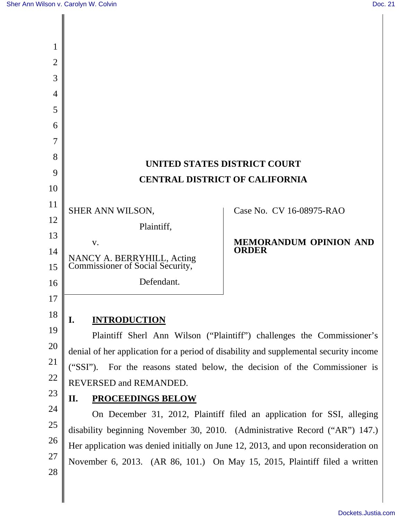| 1              |                                                                                                                                                                  |                               |  |
|----------------|------------------------------------------------------------------------------------------------------------------------------------------------------------------|-------------------------------|--|
| $\overline{2}$ |                                                                                                                                                                  |                               |  |
| 3              |                                                                                                                                                                  |                               |  |
| 4              |                                                                                                                                                                  |                               |  |
| 5              |                                                                                                                                                                  |                               |  |
| 6              |                                                                                                                                                                  |                               |  |
| 7              |                                                                                                                                                                  |                               |  |
| 8              | UNITED STATES DISTRICT COURT                                                                                                                                     |                               |  |
| 9              | <b>CENTRAL DISTRICT OF CALIFORNIA</b>                                                                                                                            |                               |  |
| 10             |                                                                                                                                                                  |                               |  |
| 11             | SHER ANN WILSON,                                                                                                                                                 | Case No. CV 16-08975-RAO      |  |
| 12             | Plaintiff,                                                                                                                                                       |                               |  |
| 13             | V.                                                                                                                                                               | <b>MEMORANDUM OPINION AND</b> |  |
| 14<br>15       | NANCY A. BERRYHILL, Acting<br>Commissioner of Social Security,                                                                                                   | <b>ORDER</b>                  |  |
| 16             | Defendant.                                                                                                                                                       |                               |  |
| 17             |                                                                                                                                                                  |                               |  |
| 18             | I.<br><b>INTRODUCTION</b>                                                                                                                                        |                               |  |
|                | Plaintiff Sherl Ann Wilson ("Plaintiff") challenges the Commissioner's                                                                                           |                               |  |
| 20             | denial of her application for a period of disability and supplemental security income                                                                            |                               |  |
| 21             | ("SSI").<br>For the reasons stated below, the decision of the Commissioner is                                                                                    |                               |  |
| 22             | REVERSED and REMANDED.                                                                                                                                           |                               |  |
| 23             | <b>PROCEEDINGS BELOW</b><br>II.                                                                                                                                  |                               |  |
| 24             | On December 31, 2012, Plaintiff filed an application for SSI, alleging                                                                                           |                               |  |
| 25             | disability beginning November 30, 2010. (Administrative Record ("AR") 147.)                                                                                      |                               |  |
| 26             | Her application was denied initially on June 12, 2013, and upon reconsideration on<br>November 6, 2013. (AR 86, 101.) On May 15, 2015, Plaintiff filed a written |                               |  |
| 27             |                                                                                                                                                                  |                               |  |
| 28             |                                                                                                                                                                  |                               |  |
|                |                                                                                                                                                                  |                               |  |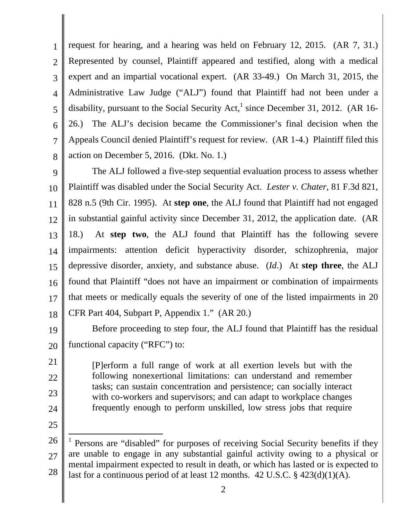1 2 3 4 5 6 7 8 request for hearing, and a hearing was held on February 12, 2015. (AR 7, 31.) Represented by counsel, Plaintiff appeared and testified, along with a medical expert and an impartial vocational expert. (AR 33-49.) On March 31, 2015, the Administrative Law Judge ("ALJ") found that Plaintiff had not been under a disability, pursuant to the Social Security Act,  $^1$  since December 31, 2012. (AR 16-26.) The ALJ's decision became the Commissioner's final decision when the Appeals Council denied Plaintiff's request for review. (AR 1-4.) Plaintiff filed this action on December 5, 2016. (Dkt. No. 1.)

9 10 11 12 13 14 15 16 17 18 The ALJ followed a five-step sequential evaluation process to assess whether Plaintiff was disabled under the Social Security Act. *Lester v. Chater*, 81 F.3d 821, 828 n.5 (9th Cir. 1995). At **step one**, the ALJ found that Plaintiff had not engaged in substantial gainful activity since December 31, 2012, the application date. (AR 18.) At **step two**, the ALJ found that Plaintiff has the following severe impairments: attention deficit hyperactivity disorder, schizophrenia, major depressive disorder, anxiety, and substance abuse. (*Id*.) At **step three**, the ALJ found that Plaintiff "does not have an impairment or combination of impairments that meets or medically equals the severity of one of the listed impairments in 20 CFR Part 404, Subpart P, Appendix 1." (AR 20.)

19 20 Before proceeding to step four, the ALJ found that Plaintiff has the residual functional capacity ("RFC") to:

[P]erform a full range of work at all exertion levels but with the following nonexertional limitations: can understand and remember tasks; can sustain concentration and persistence; can socially interact with co-workers and supervisors; and can adapt to workplace changes frequently enough to perform unskilled, low stress jobs that require

25

21

22

23

<sup>26</sup>  27 28  $\overline{\phantom{a}}$ 1 Persons are "disabled" for purposes of receiving Social Security benefits if they are unable to engage in any substantial gainful activity owing to a physical or mental impairment expected to result in death, or which has lasted or is expected to last for a continuous period of at least 12 months. 42 U.S.C. § 423(d)(1)(A).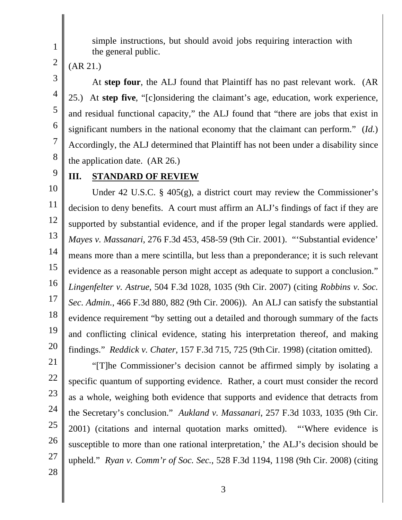simple instructions, but should avoid jobs requiring interaction with the general public.

(AR 21.)

At **step four**, the ALJ found that Plaintiff has no past relevant work. (AR 25.) At **step five**, "[c]onsidering the claimant's age, education, work experience, and residual functional capacity," the ALJ found that "there are jobs that exist in significant numbers in the national economy that the claimant can perform." (*Id.*) Accordingly, the ALJ determined that Plaintiff has not been under a disability since the application date. (AR 26.)

9

1

2

3

4

5

6

7

8

# **III. STANDARD OF REVIEW**

10 11 12 13 14 15 16 17 18 19 20 Under 42 U.S.C. § 405(g), a district court may review the Commissioner's decision to deny benefits. A court must affirm an ALJ's findings of fact if they are supported by substantial evidence, and if the proper legal standards were applied. *Mayes v. Massanari*, 276 F.3d 453, 458-59 (9th Cir. 2001). "'Substantial evidence' means more than a mere scintilla, but less than a preponderance; it is such relevant evidence as a reasonable person might accept as adequate to support a conclusion." *Lingenfelter v. Astrue*, 504 F.3d 1028, 1035 (9th Cir. 2007) (citing *Robbins v. Soc. Sec. Admin.*, 466 F.3d 880, 882 (9th Cir. 2006)). An ALJ can satisfy the substantial evidence requirement "by setting out a detailed and thorough summary of the facts and conflicting clinical evidence, stating his interpretation thereof, and making findings." *Reddick v. Chater*, 157 F.3d 715, 725 (9thCir. 1998) (citation omitted).

21 22 23

24

25 26

"[T]he Commissioner's decision cannot be affirmed simply by isolating a specific quantum of supporting evidence. Rather, a court must consider the record as a whole, weighing both evidence that supports and evidence that detracts from the Secretary's conclusion." *Aukland v. Massanari*, 257 F.3d 1033, 1035 (9th Cir. 2001) (citations and internal quotation marks omitted). "'Where evidence is susceptible to more than one rational interpretation,' the ALJ's decision should be upheld." *Ryan v. Comm'r of Soc. Sec.*, 528 F.3d 1194, 1198 (9th Cir. 2008) (citing

28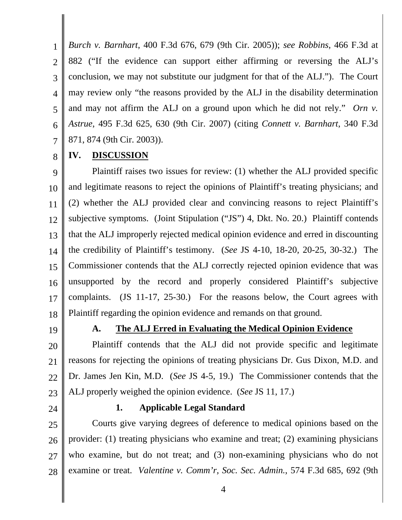1 2 3 4 5 6 7 *Burch v. Barnhart*, 400 F.3d 676, 679 (9th Cir. 2005)); *see Robbins*, 466 F.3d at 882 ("If the evidence can support either affirming or reversing the ALJ's conclusion, we may not substitute our judgment for that of the ALJ."). The Court may review only "the reasons provided by the ALJ in the disability determination and may not affirm the ALJ on a ground upon which he did not rely." *Orn v. Astrue*, 495 F.3d 625, 630 (9th Cir. 2007) (citing *Connett v. Barnhart*, 340 F.3d 871, 874 (9th Cir. 2003)).

8

# **IV. DISCUSSION**

9 10 11 12 13 14 15 16 17 18 Plaintiff raises two issues for review: (1) whether the ALJ provided specific and legitimate reasons to reject the opinions of Plaintiff's treating physicians; and (2) whether the ALJ provided clear and convincing reasons to reject Plaintiff's subjective symptoms. (Joint Stipulation ("JS") 4, Dkt. No. 20.) Plaintiff contends that the ALJ improperly rejected medical opinion evidence and erred in discounting the credibility of Plaintiff's testimony. (*See* JS 4-10, 18-20, 20-25, 30-32.) The Commissioner contends that the ALJ correctly rejected opinion evidence that was unsupported by the record and properly considered Plaintiff's subjective complaints. (JS 11-17, 25-30.) For the reasons below, the Court agrees with Plaintiff regarding the opinion evidence and remands on that ground.

19

## **A. The ALJ Erred in Evaluating the Medical Opinion Evidence**

20 21 22 23 Plaintiff contends that the ALJ did not provide specific and legitimate reasons for rejecting the opinions of treating physicians Dr. Gus Dixon, M.D. and Dr. James Jen Kin, M.D. (*See* JS 4-5, 19.) The Commissioner contends that the ALJ properly weighed the opinion evidence. (*See* JS 11, 17.)

24

## **1. Applicable Legal Standard**

25 26 27 28 Courts give varying degrees of deference to medical opinions based on the provider: (1) treating physicians who examine and treat; (2) examining physicians who examine, but do not treat; and (3) non-examining physicians who do not examine or treat. *Valentine v. Comm'r, Soc. Sec. Admin.*, 574 F.3d 685, 692 (9th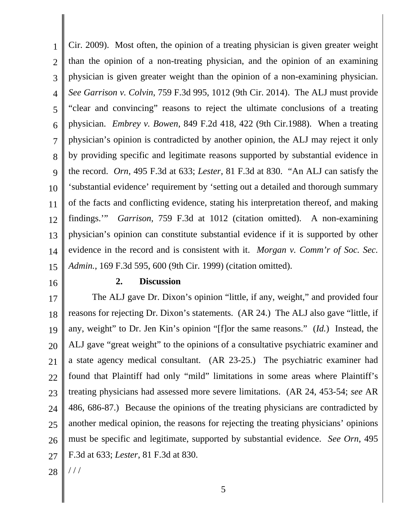1 2 3 4 5 6 7 8 9 10 11 12 13 14 15 Cir. 2009). Most often, the opinion of a treating physician is given greater weight than the opinion of a non-treating physician, and the opinion of an examining physician is given greater weight than the opinion of a non-examining physician. *See Garrison v. Colvin*, 759 F.3d 995, 1012 (9th Cir. 2014). The ALJ must provide "clear and convincing" reasons to reject the ultimate conclusions of a treating physician. *Embrey v. Bowen*, 849 F.2d 418, 422 (9th Cir.1988). When a treating physician's opinion is contradicted by another opinion, the ALJ may reject it only by providing specific and legitimate reasons supported by substantial evidence in the record. *Orn*, 495 F.3d at 633; *Lester*, 81 F.3d at 830. "An ALJ can satisfy the 'substantial evidence' requirement by 'setting out a detailed and thorough summary of the facts and conflicting evidence, stating his interpretation thereof, and making findings.'" *Garrison*, 759 F.3d at 1012 (citation omitted). A non-examining physician's opinion can constitute substantial evidence if it is supported by other evidence in the record and is consistent with it. *Morgan v. Comm'r of Soc. Sec. Admin.*, 169 F.3d 595, 600 (9th Cir. 1999) (citation omitted).

16

#### **2. Discussion**

17 18 19 20 21 22 23 24 25 26 27 The ALJ gave Dr. Dixon's opinion "little, if any, weight," and provided four reasons for rejecting Dr. Dixon's statements. (AR 24.) The ALJ also gave "little, if any, weight" to Dr. Jen Kin's opinion "[f]or the same reasons." (*Id.*) Instead, the ALJ gave "great weight" to the opinions of a consultative psychiatric examiner and a state agency medical consultant. (AR 23-25.) The psychiatric examiner had found that Plaintiff had only "mild" limitations in some areas where Plaintiff's treating physicians had assessed more severe limitations. (AR 24, 453-54; *see* AR 486, 686-87.) Because the opinions of the treating physicians are contradicted by another medical opinion, the reasons for rejecting the treating physicians' opinions must be specific and legitimate, supported by substantial evidence. *See Orn*, 495 F.3d at 633; *Lester*, 81 F.3d at 830.

28 / / /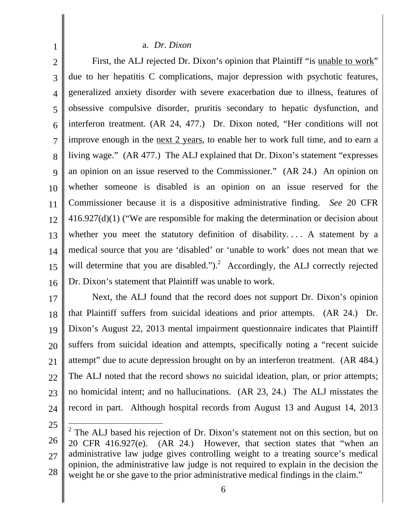#### a. *Dr. Dixon*

2 3 4 5 6 7 8 9 10 11 12 13 14 15 16 First, the ALJ rejected Dr. Dixon's opinion that Plaintiff "is unable to work" due to her hepatitis C complications, major depression with psychotic features, generalized anxiety disorder with severe exacerbation due to illness, features of obsessive compulsive disorder, pruritis secondary to hepatic dysfunction, and interferon treatment. (AR 24, 477.) Dr. Dixon noted, "Her conditions will not improve enough in the <u>next 2 years</u>, to enable her to work full time, and to earn a living wage." (AR 477.) The ALJ explained that Dr. Dixon's statement "expresses an opinion on an issue reserved to the Commissioner." (AR 24.) An opinion on whether someone is disabled is an opinion on an issue reserved for the Commissioner because it is a dispositive administrative finding. *See* 20 CFR 416.927(d)(1) ("We are responsible for making the determination or decision about whether you meet the statutory definition of disability. . . . A statement by a medical source that you are 'disabled' or 'unable to work' does not mean that we will determine that you are disabled.").<sup>2</sup> Accordingly, the ALJ correctly rejected Dr. Dixon's statement that Plaintiff was unable to work.

17 18 19 20 21 22 23 24 Next, the ALJ found that the record does not support Dr. Dixon's opinion that Plaintiff suffers from suicidal ideations and prior attempts. (AR 24.) Dr. Dixon's August 22, 2013 mental impairment questionnaire indicates that Plaintiff suffers from suicidal ideation and attempts, specifically noting a "recent suicide attempt" due to acute depression brought on by an interferon treatment. (AR 484.) The ALJ noted that the record shows no suicidal ideation, plan, or prior attempts; no homicidal intent; and no hallucinations. (AR 23, 24.) The ALJ misstates the record in part. Although hospital records from August 13 and August 14, 2013

25

<sup>26</sup>  27 28  $\overline{a}$  $2^2$  The ALJ based his rejection of Dr. Dixon's statement not on this section, but on 20 CFR 416.927(e). (AR 24.) However, that section states that "when an administrative law judge gives controlling weight to a treating source's medical opinion, the administrative law judge is not required to explain in the decision the weight he or she gave to the prior administrative medical findings in the claim."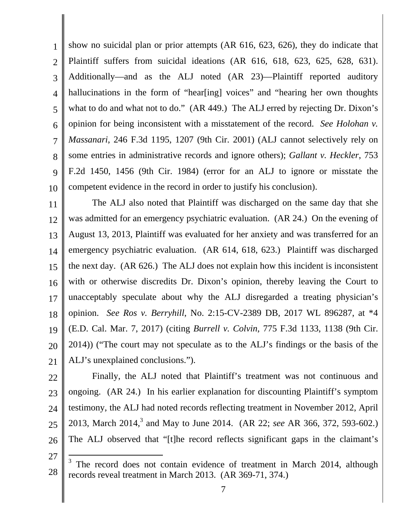1 2 3 4 5 6 7 8 9 10 show no suicidal plan or prior attempts (AR 616, 623, 626), they do indicate that Plaintiff suffers from suicidal ideations (AR 616, 618, 623, 625, 628, 631). Additionally—and as the ALJ noted (AR 23)—Plaintiff reported auditory hallucinations in the form of "hear[ing] voices" and "hearing her own thoughts what to do and what not to do." (AR 449.) The ALJ erred by rejecting Dr. Dixon's opinion for being inconsistent with a misstatement of the record. *See Holohan v. Massanari*, 246 F.3d 1195, 1207 (9th Cir. 2001) (ALJ cannot selectively rely on some entries in administrative records and ignore others); *Gallant v. Heckler*, 753 F.2d 1450, 1456 (9th Cir. 1984) (error for an ALJ to ignore or misstate the competent evidence in the record in order to justify his conclusion).

11 12 13 14 15 16 17 18 19 20 21 The ALJ also noted that Plaintiff was discharged on the same day that she was admitted for an emergency psychiatric evaluation. (AR 24.) On the evening of August 13, 2013, Plaintiff was evaluated for her anxiety and was transferred for an emergency psychiatric evaluation. (AR 614, 618, 623.) Plaintiff was discharged the next day. (AR 626.) The ALJ does not explain how this incident is inconsistent with or otherwise discredits Dr. Dixon's opinion, thereby leaving the Court to unacceptably speculate about why the ALJ disregarded a treating physician's opinion. *See Ros v. Berryhill*, No. 2:15-CV-2389 DB, 2017 WL 896287, at \*4 (E.D. Cal. Mar. 7, 2017) (citing *Burrell v. Colvin*, 775 F.3d 1133, 1138 (9th Cir. 2014)) ("The court may not speculate as to the ALJ's findings or the basis of the ALJ's unexplained conclusions.").

22 23 24 25 26 Finally, the ALJ noted that Plaintiff's treatment was not continuous and ongoing. (AR 24.) In his earlier explanation for discounting Plaintiff's symptom testimony, the ALJ had noted records reflecting treatment in November 2012, April 2013, March 2014,<sup>3</sup> and May to June 2014. (AR 22; *see* AR 366, 372, 593-602.) The ALJ observed that "[t]he record reflects significant gaps in the claimant's

27

 $\overline{a}$ 

<sup>28</sup>  3 The record does not contain evidence of treatment in March 2014, although records reveal treatment in March 2013. (AR 369-71, 374.)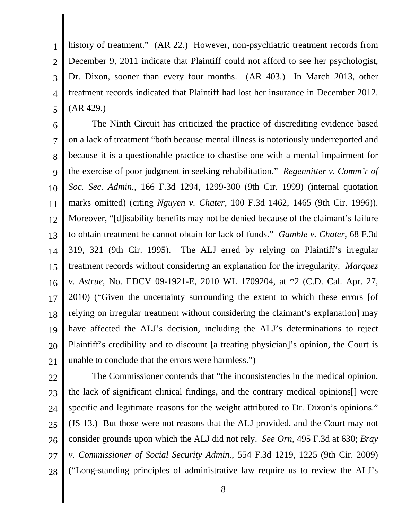1 2 3 4 5 history of treatment." (AR 22.) However, non-psychiatric treatment records from December 9, 2011 indicate that Plaintiff could not afford to see her psychologist, Dr. Dixon, sooner than every four months. (AR 403.) In March 2013, other treatment records indicated that Plaintiff had lost her insurance in December 2012. (AR 429.)

6 7 8 9 10 11 12 13 14 15 16 17 18 19 20 21 The Ninth Circuit has criticized the practice of discrediting evidence based on a lack of treatment "both because mental illness is notoriously underreported and because it is a questionable practice to chastise one with a mental impairment for the exercise of poor judgment in seeking rehabilitation." *Regennitter v. Comm'r of Soc. Sec. Admin.*, 166 F.3d 1294, 1299-300 (9th Cir. 1999) (internal quotation marks omitted) (citing *Nguyen v. Chater*, 100 F.3d 1462, 1465 (9th Cir. 1996)). Moreover, "[d]isability benefits may not be denied because of the claimant's failure to obtain treatment he cannot obtain for lack of funds." *Gamble v. Chater*, 68 F.3d 319, 321 (9th Cir. 1995). The ALJ erred by relying on Plaintiff's irregular treatment records without considering an explanation for the irregularity. *Marquez v. Astrue*, No. EDCV 09-1921-E, 2010 WL 1709204, at \*2 (C.D. Cal. Apr. 27, 2010) ("Given the uncertainty surrounding the extent to which these errors [of relying on irregular treatment without considering the claimant's explanation] may have affected the ALJ's decision, including the ALJ's determinations to reject Plaintiff's credibility and to discount [a treating physician]'s opinion, the Court is unable to conclude that the errors were harmless.")

23 24

22 25 26 27 28 The Commissioner contends that "the inconsistencies in the medical opinion, the lack of significant clinical findings, and the contrary medical opinions[] were specific and legitimate reasons for the weight attributed to Dr. Dixon's opinions." (JS 13.) But those were not reasons that the ALJ provided, and the Court may not consider grounds upon which the ALJ did not rely. *See Orn*, 495 F.3d at 630; *Bray v. Commissioner of Social Security Admin.*, 554 F.3d 1219, 1225 (9th Cir. 2009) ("Long-standing principles of administrative law require us to review the ALJ's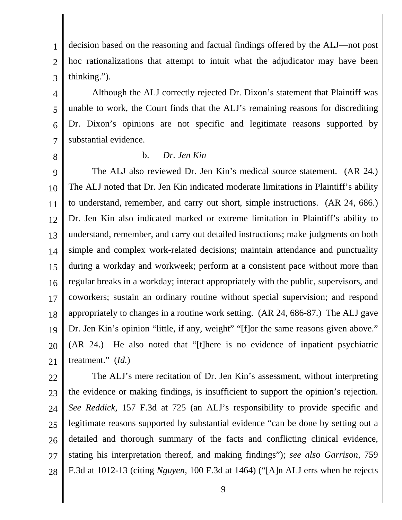3 decision based on the reasoning and factual findings offered by the ALJ—not post hoc rationalizations that attempt to intuit what the adjudicator may have been thinking.").

4 5 6 7 Although the ALJ correctly rejected Dr. Dixon's statement that Plaintiff was unable to work, the Court finds that the ALJ's remaining reasons for discrediting Dr. Dixon's opinions are not specific and legitimate reasons supported by substantial evidence.

8

1

2

## b. *Dr. Jen Kin*

9 10 11 12 13 14 15 16 17 18 19 20 21 The ALJ also reviewed Dr. Jen Kin's medical source statement. (AR 24.) The ALJ noted that Dr. Jen Kin indicated moderate limitations in Plaintiff's ability to understand, remember, and carry out short, simple instructions. (AR 24, 686.) Dr. Jen Kin also indicated marked or extreme limitation in Plaintiff's ability to understand, remember, and carry out detailed instructions; make judgments on both simple and complex work-related decisions; maintain attendance and punctuality during a workday and workweek; perform at a consistent pace without more than regular breaks in a workday; interact appropriately with the public, supervisors, and coworkers; sustain an ordinary routine without special supervision; and respond appropriately to changes in a routine work setting. (AR 24, 686-87.) The ALJ gave Dr. Jen Kin's opinion "little, if any, weight" "[f]or the same reasons given above." (AR 24.) He also noted that "[t]here is no evidence of inpatient psychiatric treatment." (*Id.*)

22

23 24 25 26 27 28 The ALJ's mere recitation of Dr. Jen Kin's assessment, without interpreting the evidence or making findings, is insufficient to support the opinion's rejection. *See Reddick*, 157 F.3d at 725 (an ALJ's responsibility to provide specific and legitimate reasons supported by substantial evidence "can be done by setting out a detailed and thorough summary of the facts and conflicting clinical evidence, stating his interpretation thereof, and making findings"); *see also Garrison*, 759 F.3d at 1012-13 (citing *Nguyen*, 100 F.3d at 1464) ("[A]n ALJ errs when he rejects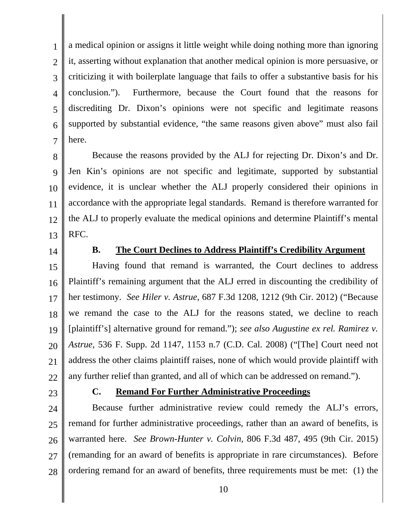1 2 3 4 5 6 7 a medical opinion or assigns it little weight while doing nothing more than ignoring it, asserting without explanation that another medical opinion is more persuasive, or criticizing it with boilerplate language that fails to offer a substantive basis for his conclusion."). Furthermore, because the Court found that the reasons for discrediting Dr. Dixon's opinions were not specific and legitimate reasons supported by substantial evidence, "the same reasons given above" must also fail here.

8 9 10 11 12 13 Because the reasons provided by the ALJ for rejecting Dr. Dixon's and Dr. Jen Kin's opinions are not specific and legitimate, supported by substantial evidence, it is unclear whether the ALJ properly considered their opinions in accordance with the appropriate legal standards. Remand is therefore warranted for the ALJ to properly evaluate the medical opinions and determine Plaintiff's mental RFC.

14

# **B. The Court Declines to Address Plaintiff's Credibility Argument**

15 16 17 18 19 20 21 22 Having found that remand is warranted, the Court declines to address Plaintiff's remaining argument that the ALJ erred in discounting the credibility of her testimony. *See Hiler v. Astrue*, 687 F.3d 1208, 1212 (9th Cir. 2012) ("Because we remand the case to the ALJ for the reasons stated, we decline to reach [plaintiff's] alternative ground for remand."); *see also Augustine ex rel. Ramirez v. Astrue*, 536 F. Supp. 2d 1147, 1153 n.7 (C.D. Cal. 2008) ("[The] Court need not address the other claims plaintiff raises, none of which would provide plaintiff with any further relief than granted, and all of which can be addressed on remand.").

23

# **C. Remand For Further Administrative Proceedings**

24 25 26 27 28 Because further administrative review could remedy the ALJ's errors, remand for further administrative proceedings, rather than an award of benefits, is warranted here. *See Brown-Hunter v. Colvin*, 806 F.3d 487, 495 (9th Cir. 2015) (remanding for an award of benefits is appropriate in rare circumstances). Before ordering remand for an award of benefits, three requirements must be met: (1) the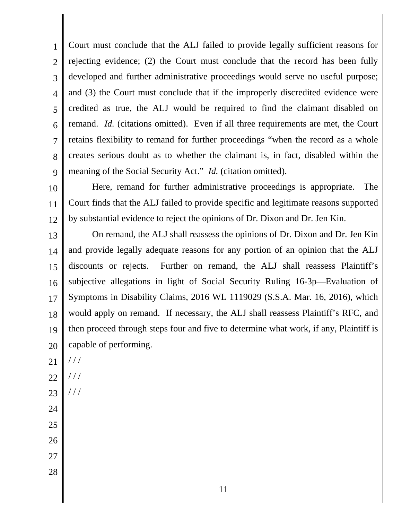1 2 3 4 5 6 7 8 9 Court must conclude that the ALJ failed to provide legally sufficient reasons for rejecting evidence; (2) the Court must conclude that the record has been fully developed and further administrative proceedings would serve no useful purpose; and (3) the Court must conclude that if the improperly discredited evidence were credited as true, the ALJ would be required to find the claimant disabled on remand. *Id.* (citations omitted). Even if all three requirements are met, the Court retains flexibility to remand for further proceedings "when the record as a whole creates serious doubt as to whether the claimant is, in fact, disabled within the meaning of the Social Security Act." *Id.* (citation omitted).

10 11 12 Here, remand for further administrative proceedings is appropriate. The Court finds that the ALJ failed to provide specific and legitimate reasons supported by substantial evidence to reject the opinions of Dr. Dixon and Dr. Jen Kin.

13 14 15 16 17 18 19 20 On remand, the ALJ shall reassess the opinions of Dr. Dixon and Dr. Jen Kin and provide legally adequate reasons for any portion of an opinion that the ALJ discounts or rejects. Further on remand, the ALJ shall reassess Plaintiff's subjective allegations in light of Social Security Ruling 16-3p—Evaluation of Symptoms in Disability Claims, 2016 WL 1119029 (S.S.A. Mar. 16, 2016), which would apply on remand. If necessary, the ALJ shall reassess Plaintiff's RFC, and then proceed through steps four and five to determine what work, if any, Plaintiff is capable of performing.

- 21 / / /
- 22 / / /
- 23 / / /
- 24
- 25
- 26
- 27
- 28